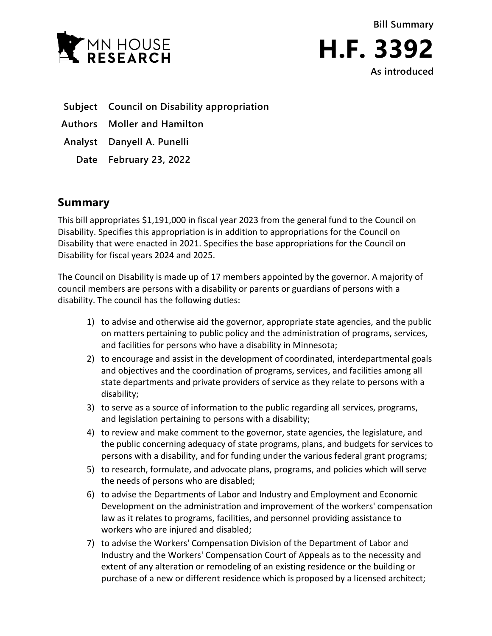



**Subject Council on Disability appropriation**

**Authors Moller and Hamilton**

**Analyst Danyell A. Punelli**

**Date February 23, 2022**

## **Summary**

This bill appropriates \$1,191,000 in fiscal year 2023 from the general fund to the Council on Disability. Specifies this appropriation is in addition to appropriations for the Council on Disability that were enacted in 2021. Specifies the base appropriations for the Council on Disability for fiscal years 2024 and 2025.

The Council on Disability is made up of 17 members appointed by the governor. A majority of council members are persons with a disability or parents or guardians of persons with a disability. The council has the following duties:

- 1) to advise and otherwise aid the governor, appropriate state agencies, and the public on matters pertaining to public policy and the administration of programs, services, and facilities for persons who have a disability in Minnesota;
- 2) to encourage and assist in the development of coordinated, interdepartmental goals and objectives and the coordination of programs, services, and facilities among all state departments and private providers of service as they relate to persons with a disability;
- 3) to serve as a source of information to the public regarding all services, programs, and legislation pertaining to persons with a disability;
- 4) to review and make comment to the governor, state agencies, the legislature, and the public concerning adequacy of state programs, plans, and budgets for services to persons with a disability, and for funding under the various federal grant programs;
- 5) to research, formulate, and advocate plans, programs, and policies which will serve the needs of persons who are disabled;
- 6) to advise the Departments of Labor and Industry and Employment and Economic Development on the administration and improvement of the workers' compensation law as it relates to programs, facilities, and personnel providing assistance to workers who are injured and disabled;
- 7) to advise the Workers' Compensation Division of the Department of Labor and Industry and the Workers' Compensation Court of Appeals as to the necessity and extent of any alteration or remodeling of an existing residence or the building or purchase of a new or different residence which is proposed by a licensed architect;